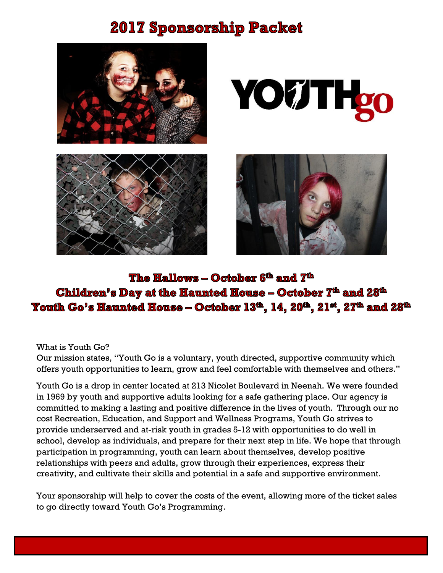# **2017 Sponsorship Packet**









## The Hallows – October 6<sup>th</sup> and 7<sup>th</sup> Children's Day at the Haunted House - October 7<sup>th</sup> and 28<sup>th</sup> Youth Go's Haunted House – October 13<sup>th</sup>, 14, 20<sup>th</sup>, 21<sup>st</sup>, 27<sup>th</sup> and 28<sup>th</sup>

#### What is Youth Go?

Our mission states, "Youth Go is a voluntary, youth directed, supportive community which offers youth opportunities to learn, grow and feel comfortable with themselves and others."

Youth Go is a drop in center located at 213 Nicolet Boulevard in Neenah. We were founded in 1969 by youth and supportive adults looking for a safe gathering place. Our agency is committed to making a lasting and positive difference in the lives of youth. Through our no cost Recreation, Education, and Support and Wellness Programs, Youth Go strives to provide underserved and at-risk youth in grades 5-12 with opportunities to do well in school, develop as individuals, and prepare for their next step in life. We hope that through participation in programming, youth can learn about themselves, develop positive relationships with peers and adults, grow through their experiences, express their creativity, and cultivate their skills and potential in a safe and supportive environment.

Your sponsorship will help to cover the costs of the event, allowing more of the ticket sales to go directly toward Youth Go's Programming.